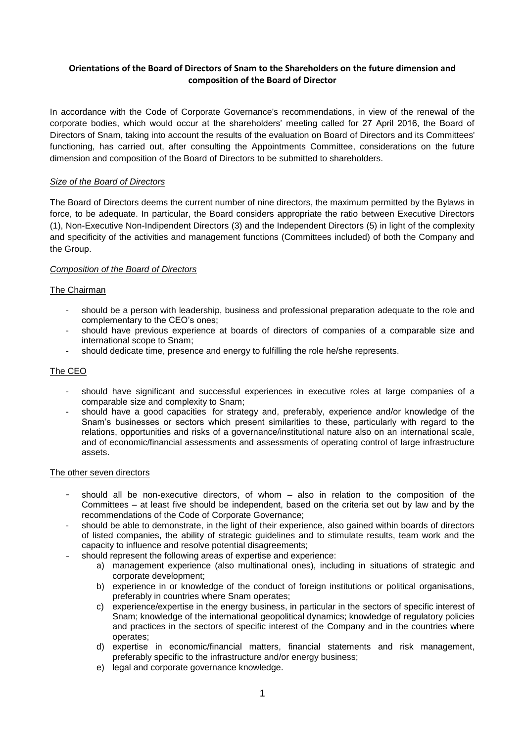# **Orientations of the Board of Directors of Snam to the Shareholders on the future dimension and composition of the Board of Director**

In accordance with the Code of Corporate Governance's recommendations, in view of the renewal of the corporate bodies, which would occur at the shareholders' meeting called for 27 April 2016, the Board of Directors of Snam, taking into account the results of the evaluation on Board of Directors and its Committees' functioning, has carried out, after consulting the Appointments Committee, considerations on the future dimension and composition of the Board of Directors to be submitted to shareholders.

## *Size of the Board of Directors*

The Board of Directors deems the current number of nine directors, the maximum permitted by the Bylaws in force, to be adequate. In particular, the Board considers appropriate the ratio between Executive Directors (1), Non-Executive Non-Indipendent Directors (3) and the Independent Directors (5) in light of the complexity and specificity of the activities and management functions (Committees included) of both the Company and the Group.

## *Composition of the Board of Directors*

## The Chairman

- should be a person with leadership, business and professional preparation adequate to the role and complementary to the CEO's ones;
- should have previous experience at boards of directors of companies of a comparable size and international scope to Snam;
- should dedicate time, presence and energy to fulfilling the role he/she represents.

## The CEO

- should have significant and successful experiences in executive roles at large companies of a comparable size and complexity to Snam;
- should have a good capacities for strategy and, preferably, experience and/or knowledge of the Snam's businesses or sectors which present similarities to these, particularly with regard to the relations, opportunities and risks of a governance/institutional nature also on an international scale, and of economic/financial assessments and assessments of operating control of large infrastructure assets.

#### The other seven directors

- should all be non-executive directors, of whom also in relation to the composition of the Committees – at least five should be independent, based on the criteria set out by law and by the recommendations of the Code of Corporate Governance;
- should be able to demonstrate, in the light of their experience, also gained within boards of directors of listed companies, the ability of strategic guidelines and to stimulate results, team work and the capacity to influence and resolve potential disagreements;
- should represent the following areas of expertise and experience:
	- a) management experience (also multinational ones), including in situations of strategic and corporate development;
	- b) experience in or knowledge of the conduct of foreign institutions or political organisations, preferably in countries where Snam operates;
	- c) experience/expertise in the energy business, in particular in the sectors of specific interest of Snam; knowledge of the international geopolitical dynamics; knowledge of regulatory policies and practices in the sectors of specific interest of the Company and in the countries where operates;
	- d) expertise in economic/financial matters, financial statements and risk management, preferably specific to the infrastructure and/or energy business;
	- e) legal and corporate governance knowledge.